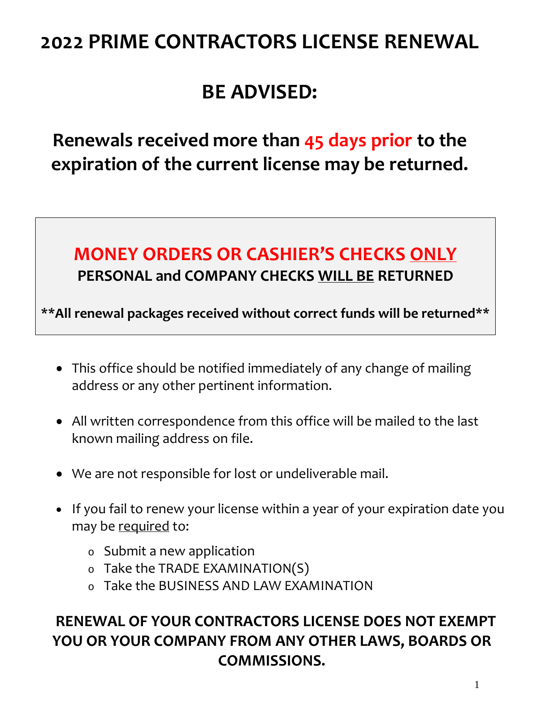# **2022 PRIME CONTRACTORS LICENSE RENEWAL**

# **BE ADVISED:**

**Renewals received more than 45 days prior to the expiration of the current license may be returned.**

## **MONEY ORDERS OR CASHIER'S CHECKS ONLY PERSONAL and COMPANY CHECKS WILL BE RETURNED**

**\*\*All renewal packages received without correct funds will be returned\*\***

- This office should be notified immediately of any change of mailing address or any other pertinent information.
- All written correspondence from this office will be mailed to the last known mailing address on file.
- We are not responsible for lost or undeliverable mail.
- If you fail to renew your license within a year of your expiration date you may be required to:
	- o Submit a new application
	- o Take the TRADE EXAMINATION(S)
	- o Take the BUSINESS AND LAW EXAMINATION

## **RENEWAL OF YOUR CONTRACTORS LICENSE DOES NOT EXEMPT YOU OR YOUR COMPANY FROM ANY OTHER LAWS, BOARDS OR COMMISSIONS.**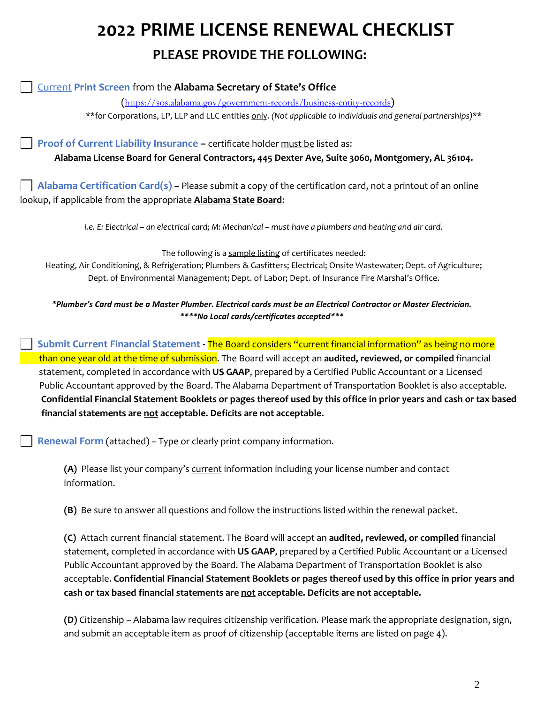# **2022 PRIME LICENSE RENEWAL CHECKLIST PLEASE PROVIDE THE FOLLOWING:**

Current **Print Screen** from the **Alabama Secretary of State's Office**

(<https://sos.alabama.gov/government-records/business-entity-records>)

\*\*for Corporations, LP, LLP and LLC entities only. *(Not applicable to individuals and general partnerships)*\*\*

**Proof of Current Liability Insurance –** certificate holder must be listed as:

**Alabama License Board for General Contractors, 445 Dexter Ave, Suite 3060, Montgomery, AL 36104.**

 **Alabama Certification Card(s) –** Please submit a copy of the certification card, not a printout of an online lookup, if applicable from the appropriate **Alabama State Board**:

*i.e. E: Electrical – an electrical card; M: Mechanical – must have a plumbers and heating and air card.*

The following is a sample listing of certificates needed:

Heating, Air Conditioning, & Refrigeration; Plumbers & Gasfitters; Electrical; Onsite Wastewater; Dept. of Agriculture; Dept. of Environmental Management; Dept. of Labor; Dept. of Insurance Fire Marshal's Office.

*\*Plumber's Card must be a Master Plumber. Electrical cards must be an Electrical Contractor or Master Electrician. \*\*\*\*No Local cards/certificates accepted\*\*\**

 **Submit Current Financial Statement -** The Board considers "current financial information" as being no more than one year old at the time of submission. The Board will accept an **audited, reviewed, or compiled** financial statement, completed in accordance with **US GAAP**, prepared by a Certified Public Accountant or a Licensed Public Accountant approved by the Board. The Alabama Department of Transportation Booklet is also acceptable. **Confidential Financial Statement Booklets or pages thereof used by this office in prior years and cash or tax based financial statements are not acceptable. Deficits are not acceptable.**

**Renewal Form** (attached) – Type or clearly print company information.

**(A)** Please list your company's current information including your license number and contact information.

**(B)** Be sure to answer all questions and follow the instructions listed within the renewal packet.

**(C)** Attach current financial statement. The Board will accept an **audited, reviewed, or compiled** financial statement, completed in accordance with **US GAAP**, prepared by a Certified Public Accountant or a Licensed Public Accountant approved by the Board. The Alabama Department of Transportation Booklet is also acceptable. **Confidential Financial Statement Booklets or pages thereof used by this office in prior years and cash or tax based financial statements are not acceptable. Deficits are not acceptable.**

**(D)** Citizenship – Alabama law requires citizenship verification. Please mark the appropriate designation, sign, and submit an acceptable item as proof of citizenship (acceptable items are listed on page 4).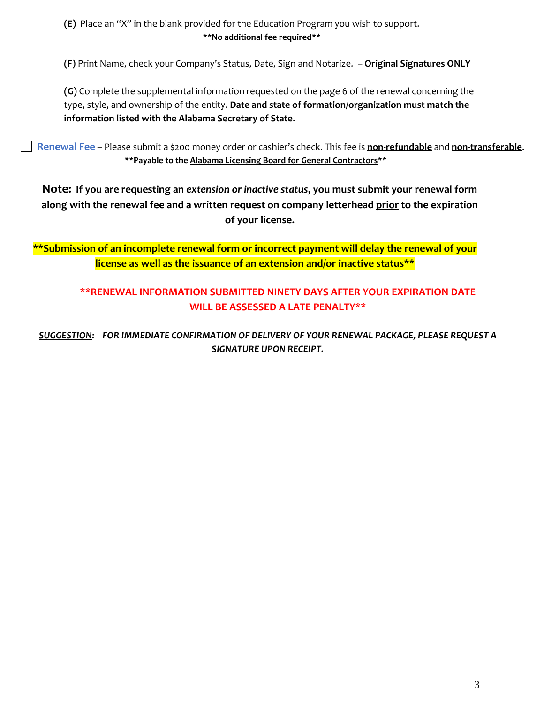**(E)** Place an "X" in the blank provided for the Education Program you wish to support. **\*\*No additional fee required\*\***

**(F)** Print Name, check your Company's Status, Date, Sign and Notarize. – **Original Signatures ONLY**

**(G)** Complete the supplemental information requested on the page 6 of the renewal concerning the type, style, and ownership of the entity. **Date and state of formation/organization must match the information listed with the Alabama Secretary of State**.

 **Renewal Fee** – Please submit a \$200 money order or cashier's check. This fee is **non-refundable** and **non-transferable**. **\*\*Payable to the Alabama Licensing Board for General Contractors\*\***

**Note: If you are requesting an** *extension or inactive status***, you must submit your renewal form along with the renewal fee and a written request on company letterhead prior to the expiration of your license.**

**\*\*Submission of an incomplete renewal form or incorrect payment will delay the renewal of your license as well as the issuance of an extension and/or inactive status\*\***

### **\*\*RENEWAL INFORMATION SUBMITTED NINETY DAYS AFTER YOUR EXPIRATION DATE WILL BE ASSESSED A LATE PENALTY\*\***

*SUGGESTION: FOR IMMEDIATE CONFIRMATION OF DELIVERY OF YOUR RENEWAL PACKAGE, PLEASE REQUEST A SIGNATURE UPON RECEIPT.*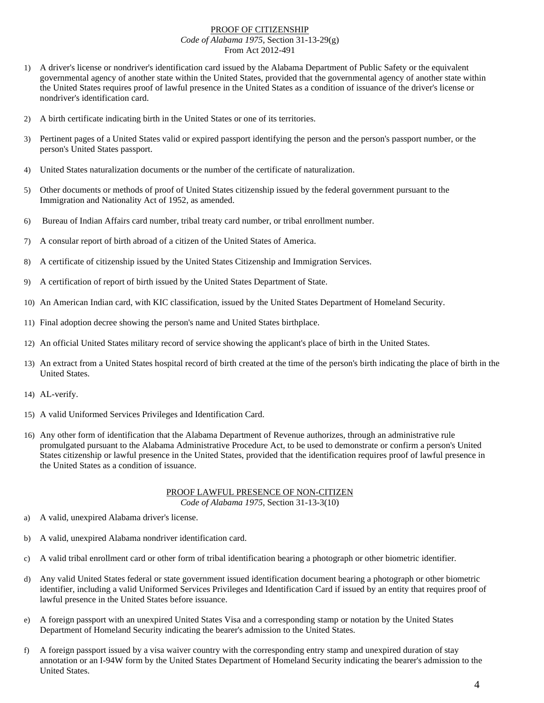#### PROOF OF CITIZENSHIP *Code of Alabama 1975*, Section 31-13-29(g) From Act 2012-491

- 1) A driver's license or nondriver's identification card issued by the Alabama Department of Public Safety or the equivalent governmental agency of another state within the United States, provided that the governmental agency of another state within the United States requires proof of lawful presence in the United States as a condition of issuance of the driver's license or nondriver's identification card.
- 2) A birth certificate indicating birth in the United States or one of its territories.
- 3) Pertinent pages of a United States valid or expired passport identifying the person and the person's passport number, or the person's United States passport.
- 4) United States naturalization documents or the number of the certificate of naturalization.
- 5) Other documents or methods of proof of United States citizenship issued by the federal government pursuant to the Immigration and Nationality Act of 1952, as amended.
- 6) Bureau of Indian Affairs card number, tribal treaty card number, or tribal enrollment number.
- 7) A consular report of birth abroad of a citizen of the United States of America.
- 8) A certificate of citizenship issued by the United States Citizenship and Immigration Services.
- 9) A certification of report of birth issued by the United States Department of State.
- 10) An American Indian card, with KIC classification, issued by the United States Department of Homeland Security.
- 11) Final adoption decree showing the person's name and United States birthplace.
- 12) An official United States military record of service showing the applicant's place of birth in the United States.
- 13) An extract from a United States hospital record of birth created at the time of the person's birth indicating the place of birth in the United States.
- 14) AL-verify.
- 15) A valid Uniformed Services Privileges and Identification Card.
- 16) Any other form of identification that the Alabama Department of Revenue authorizes, through an administrative rule promulgated pursuant to the Alabama Administrative Procedure Act, to be used to demonstrate or confirm a person's United States citizenship or lawful presence in the United States, provided that the identification requires proof of lawful presence in the United States as a condition of issuance.

#### PROOF LAWFUL PRESENCE OF NON-CITIZEN *Code of Alabama 1975*, Section 31-13-3(10)

- a) A valid, unexpired Alabama driver's license.
- b) A valid, unexpired Alabama nondriver identification card.
- c) A valid tribal enrollment card or other form of tribal identification bearing a photograph or other biometric identifier.
- d) Any valid United States federal or state government issued identification document bearing a photograph or other biometric identifier, including a valid Uniformed Services Privileges and Identification Card if issued by an entity that requires proof of lawful presence in the United States before issuance.
- e) A foreign passport with an unexpired United States Visa and a corresponding stamp or notation by the United States Department of Homeland Security indicating the bearer's admission to the United States.
- f) A foreign passport issued by a visa waiver country with the corresponding entry stamp and unexpired duration of stay annotation or an I-94W form by the United States Department of Homeland Security indicating the bearer's admission to the United States.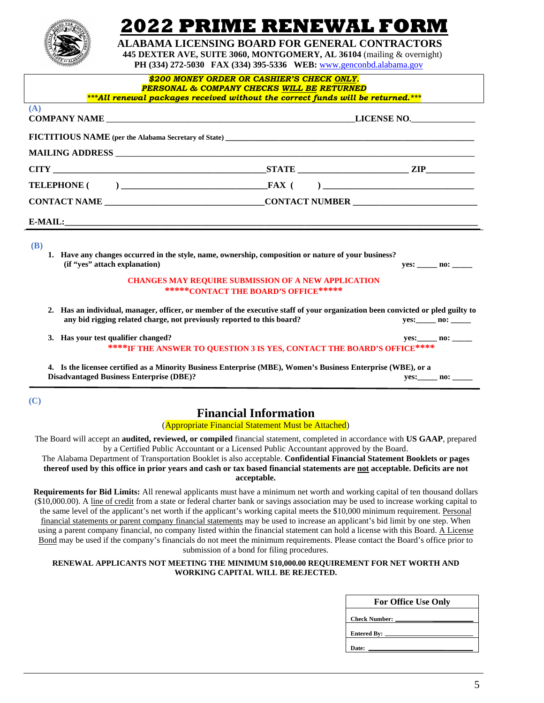

# 2022 PRIME RENEWAL FOR

 **ALABAMA LICENSING BOARD FOR GENERAL CONTRACTORS 445 DEXTER AVE, SUITE 3060, MONTGOMERY, AL 36104** (mailing & overnight)

 **PH (334) 272-5030 FAX (334) 395-5336 WEB:** [www.genconbd.alabama.gov](http://www.genconbd.alabama.gov/)

| \$200 MONEY ORDER OR CASHIER'S CHECK ONLY.<br><b>PERSONAL &amp; COMPANY CHECKS WILL BE RETURNED</b><br>***All renewal packages received without the correct funds will be returned.***                   |                                                                                                    |                       |  |
|----------------------------------------------------------------------------------------------------------------------------------------------------------------------------------------------------------|----------------------------------------------------------------------------------------------------|-----------------------|--|
| (A)                                                                                                                                                                                                      |                                                                                                    |                       |  |
|                                                                                                                                                                                                          |                                                                                                    |                       |  |
|                                                                                                                                                                                                          |                                                                                                    |                       |  |
|                                                                                                                                                                                                          |                                                                                                    |                       |  |
|                                                                                                                                                                                                          |                                                                                                    |                       |  |
|                                                                                                                                                                                                          |                                                                                                    |                       |  |
| E-MAIL:                                                                                                                                                                                                  |                                                                                                    |                       |  |
| <b>(B)</b><br>1. Have any changes occurred in the style, name, ownership, composition or nature of your business?<br>(if "ves" attach explanation)                                                       |                                                                                                    | $yes:$ no:            |  |
|                                                                                                                                                                                                          | <b>CHANGES MAY REQUIRE SUBMISSION OF A NEW APPLICATION</b><br>*****CONTACT THE BOARD'S OFFICE***** |                       |  |
| 2. Has an individual, manager, officer, or member of the executive staff of your organization been convicted or pled guilty to<br>any bid rigging related charge, not previously reported to this board? |                                                                                                    |                       |  |
| 3. Has your test qualifier changed?<br>****IF THE ANSWER TO QUESTION 3 IS YES, CONTACT THE BOARD'S OFFICE****                                                                                            |                                                                                                    | yes: ______ no: _____ |  |
| 4. Is the licensee certified as a Minority Business Enterprise (MBE), Women's Business Enterprise (WBE), or a<br><b>Disadvantaged Business Enterprise (DBE)?</b>                                         |                                                                                                    | yes: no:              |  |

**(C)**

### **Financial Information**

(Appropriate Financial Statement Must be Attached)

The Board will accept an **audited, reviewed, or compiled** financial statement, completed in accordance with **US GAAP**, prepared by a Certified Public Accountant or a Licensed Public Accountant approved by the Board.

The Alabama Department of Transportation Booklet is also acceptable. **Confidential Financial Statement Booklets or pages thereof used by this office in prior years and cash or tax based financial statements are not acceptable. Deficits are not acceptable.**

**Requirements for Bid Limits:** All renewal applicants must have a minimum net worth and working capital of ten thousand dollars (\$10,000.00). A line of credit from a state or federal charter bank or savings association may be used to increase working capital to the same level of the applicant's net worth if the applicant's working capital meets the \$10,000 minimum requirement. Personal financial statements or parent company financial statements may be used to increase an applicant's bid limit by one step. When using a parent company financial, no company listed within the financial statement can hold a license with this Board. A License Bond may be used if the company's financials do not meet the minimum requirements. Please contact the Board's office prior to submission of a bond for filing procedures.

#### **RENEWAL APPLICANTS NOT MEETING THE MINIMUM \$10,000.00 REQUIREMENT FOR NET WORTH AND WORKING CAPITAL WILL BE REJECTED.**

| <b>For Office Use Only</b> |  |  |
|----------------------------|--|--|
| Check Number: __           |  |  |
| Entered By: _____          |  |  |
| Date:                      |  |  |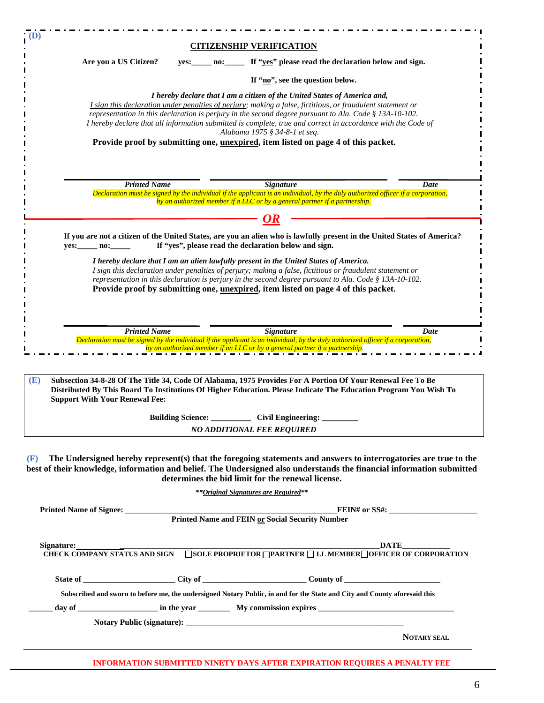|            |                                       | <b>CITIZENSHIP VERIFICATION</b>                                                                                                                                                                                                                                                                                                                                                                                                                                                                                                                 |                                                                                                                                                                                                                                           |
|------------|---------------------------------------|-------------------------------------------------------------------------------------------------------------------------------------------------------------------------------------------------------------------------------------------------------------------------------------------------------------------------------------------------------------------------------------------------------------------------------------------------------------------------------------------------------------------------------------------------|-------------------------------------------------------------------------------------------------------------------------------------------------------------------------------------------------------------------------------------------|
|            | Are you a US Citizen?                 | yes: no: If "yes" please read the declaration below and sign.                                                                                                                                                                                                                                                                                                                                                                                                                                                                                   |                                                                                                                                                                                                                                           |
|            |                                       | If "no", see the question below.                                                                                                                                                                                                                                                                                                                                                                                                                                                                                                                |                                                                                                                                                                                                                                           |
|            |                                       | I hereby declare that I am a citizen of the United States of America and,<br>I sign this declaration under penalties of perjury; making a false, fictitious, or fraudulent statement or<br>representation in this declaration is perjury in the second degree pursuant to Ala. Code § 13A-10-102.<br>I hereby declare that all information submitted is complete, true and correct in accordance with the Code of<br>Alabama 1975 § 34-8-1 et seq.<br>Provide proof by submitting one, <u>unexpired</u> , item listed on page 4 of this packet. |                                                                                                                                                                                                                                           |
|            | <b>Printed Name</b>                   | <b>Signature</b>                                                                                                                                                                                                                                                                                                                                                                                                                                                                                                                                | Date                                                                                                                                                                                                                                      |
|            |                                       | Declaration must be signed by the individual if the applicant is an individual, by the duly authorized officer if a corporation,                                                                                                                                                                                                                                                                                                                                                                                                                |                                                                                                                                                                                                                                           |
|            |                                       | by an authorized member if a LLC or by a general partner if a partnership.                                                                                                                                                                                                                                                                                                                                                                                                                                                                      |                                                                                                                                                                                                                                           |
|            |                                       |                                                                                                                                                                                                                                                                                                                                                                                                                                                                                                                                                 |                                                                                                                                                                                                                                           |
| yes: no:   |                                       | If "yes", please read the declaration below and sign.                                                                                                                                                                                                                                                                                                                                                                                                                                                                                           | If you are not a citizen of the United States, are you an alien who is lawfully present in the United States of America?                                                                                                                  |
|            |                                       | I hereby declare that I am an alien lawfully present in the United States of America.<br>I sign this declaration under penalties of perjury; making a false, fictitious or fraudulent statement or<br>representation in this declaration is perjury in the second degree pursuant to Ala. Code § 13A-10-102.<br>Provide proof by submitting one, unexpired, item listed on page 4 of this packet.                                                                                                                                               |                                                                                                                                                                                                                                           |
|            | <b>Printed Name</b>                   | <b>Signature</b>                                                                                                                                                                                                                                                                                                                                                                                                                                                                                                                                | Date                                                                                                                                                                                                                                      |
|            |                                       |                                                                                                                                                                                                                                                                                                                                                                                                                                                                                                                                                 |                                                                                                                                                                                                                                           |
|            |                                       | Declaration must be signed by the individual if the applicant is an individual, by the duly authorized officer if a corporation,<br>by an authorized member if an LLC or by a general partner if a partnership.                                                                                                                                                                                                                                                                                                                                 |                                                                                                                                                                                                                                           |
|            | <b>Support With Your Renewal Fee:</b> | Subsection 34-8-28 Of The Title 34, Code Of Alabama, 1975 Provides For A Portion Of Your Renewal Fee To Be<br>Building Science: ___________________ Civil Engineering:<br><b>NO ADDITIONAL FEE REQUIRED</b>                                                                                                                                                                                                                                                                                                                                     | Distributed By This Board To Institutions Of Higher Education. Please Indicate The Education Program You Wish To                                                                                                                          |
|            |                                       | determines the bid limit for the renewal license.                                                                                                                                                                                                                                                                                                                                                                                                                                                                                               |                                                                                                                                                                                                                                           |
|            |                                       | ** Original Signatures are Required**                                                                                                                                                                                                                                                                                                                                                                                                                                                                                                           |                                                                                                                                                                                                                                           |
|            |                                       |                                                                                                                                                                                                                                                                                                                                                                                                                                                                                                                                                 |                                                                                                                                                                                                                                           |
|            |                                       |                                                                                                                                                                                                                                                                                                                                                                                                                                                                                                                                                 | The Undersigned hereby represent(s) that the foregoing statements and answers to interrogatories are true to the<br>best of their knowledge, information and belief. The Undersigned also understands the financial information submitted |
|            |                                       |                                                                                                                                                                                                                                                                                                                                                                                                                                                                                                                                                 |                                                                                                                                                                                                                                           |
| (E)<br>(F) |                                       |                                                                                                                                                                                                                                                                                                                                                                                                                                                                                                                                                 |                                                                                                                                                                                                                                           |
|            |                                       |                                                                                                                                                                                                                                                                                                                                                                                                                                                                                                                                                 |                                                                                                                                                                                                                                           |
|            |                                       | Subscribed and sworn to before me, the undersigned Notary Public, in and for the State and City and County aforesaid this                                                                                                                                                                                                                                                                                                                                                                                                                       |                                                                                                                                                                                                                                           |
|            |                                       |                                                                                                                                                                                                                                                                                                                                                                                                                                                                                                                                                 |                                                                                                                                                                                                                                           |

**NOTARY SEAL**

### **INFORMATION SUBMITTED NINETY DAYS AFTER EXPIRATION REQUIRES A PENALTY FEE**